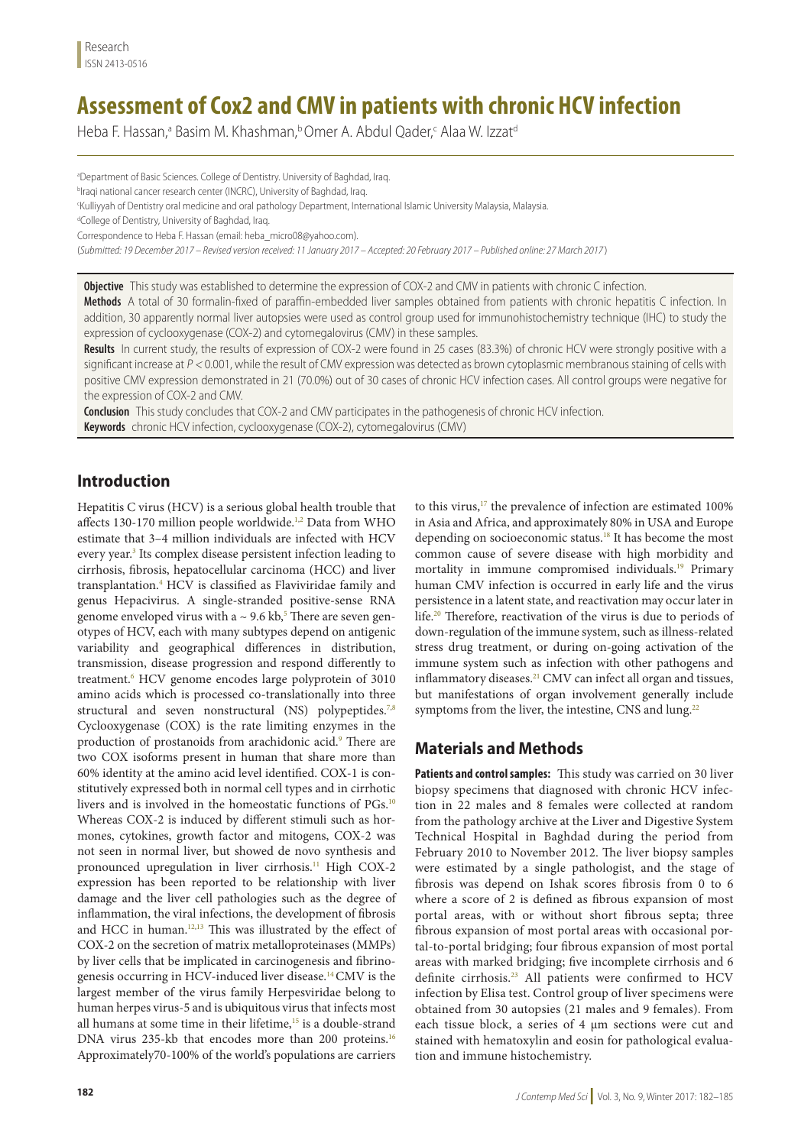# **Assessment of Cox2 and CMV in patients with chronic HCV infection**

Heba F. Hassan,ª Basim M. Khashman,b Omer A. Abdul Qader,< Alaa W. Izzat<sup>d</sup>

<sup>a</sup>Department of Basic Sciences. College of Dentistry. University of Baghdad, Iraq.

<sup>b</sup>lraqi national cancer research center (INCRC), University of Baghdad, Iraq.

c Kulliyyah of Dentistry oral medicine and oral pathology Department, International Islamic University Malaysia, Malaysia.

<sup>d</sup>College of Dentistry, University of Baghdad, Iraq.

Correspondence to Heba F. Hassan (email: heba\_micro08@yahoo.com).

(*Submitted: 19 December 2017 – Revised version received: 11 January 2017 – Accepted: 20 February 2017 – Published online: 27 March 2017* )

**Objective** This study was established to determine the expression of COX-2 and CMV in patients with chronic C infection.

**Methods** A total of 30 formalin-fixed of paraffin-embedded liver samples obtained from patients with chronic hepatitis C infection. In addition, 30 apparently normal liver autopsies were used as control group used for immunohistochemistry technique (IHC) to study the expression of cyclooxygenase (COX-2) and cytomegalovirus (CMV) in these samples.

**Results** In current study, the results of expression of COX-2 were found in 25 cases (83.3%) of chronic HCV were strongly positive with a significant increase at  $P < 0.001$ , while the result of CMV expression was detected as brown cytoplasmic membranous staining of cells with positive CMV expression demonstrated in 21 (70.0%) out of 30 cases of chronic HCV infection cases. All control groups were negative for the expression of COX-2 and CMV.

**Conclusion** This study concludes that COX-2 and CMV participates in the pathogenesis of chronic HCV infection.

**Keywords** chronic HCV infection, cyclooxygenase (COX-2), cytomegalovirus (CMV)

## **Introduction**

Hepatitis C virus (HCV) is a serious global health trouble that affects 130-170 million people worldwide.<sup>1,2</sup> Data from WHO estimate that 3–4 million individuals are infected with HCV every year.<sup>3</sup> Its complex disease persistent infection leading to cirrhosis, fibrosis, hepatocellular carcinoma (HCC) and liver transplantation.4 HCV is classified as Flaviviridae family and genus Hepacivirus. A single-stranded positive-sense RNA genome enveloped virus with a  $\sim$  9.6 kb, $^5$  There are seven genotypes of HCV, each with many subtypes depend on antigenic variability and geographical differences in distribution, transmission, disease progression and respond differently to treatment.6 HCV genome encodes large polyprotein of 3010 amino acids which is processed co-translationally into three structural and seven nonstructural (NS) polypeptides.<sup>7,8</sup> Cyclooxygenase (COX) is the rate limiting enzymes in the production of prostanoids from arachidonic acid.<sup>9</sup> There are two COX isoforms present in human that share more than 60% identity at the amino acid level identified. COX-1 is constitutively expressed both in normal cell types and in cirrhotic livers and is involved in the homeostatic functions of PGs.<sup>10</sup> Whereas COX-2 is induced by different stimuli such as hormones, cytokines, growth factor and mitogens, COX-2 was not seen in normal liver, but showed de novo synthesis and pronounced upregulation in liver cirrhosis.<sup>11</sup> High COX-2 expression has been reported to be relationship with liver damage and the liver cell pathologies such as the degree of inflammation, the viral infections, the development of fibrosis and HCC in human.<sup>12,13</sup> This was illustrated by the effect of COX-2 on the secretion of matrix metalloproteinases (MMPs) by liver cells that be implicated in carcinogenesis and fibrinogenesis occurring in HCV-induced liver disease.14CMV is the largest member of the virus family Herpesviridae belong to human herpes virus-5 and is ubiquitous virus that infects most all humans at some time in their lifetime,<sup>15</sup> is a double-strand DNA virus 235-kb that encodes more than 200 proteins.<sup>16</sup> Approximately70-100% of the world's populations are carriers

to this virus,<sup>17</sup> the prevalence of infection are estimated 100% in Asia and Africa, and approximately 80% in USA and Europe depending on socioeconomic status.<sup>18</sup> It has become the most common cause of severe disease with high morbidity and mortality in immune compromised individuals.<sup>19</sup> Primary human CMV infection is occurred in early life and the virus persistence in a latent state, and reactivation may occur later in life.20 Therefore, reactivation of the virus is due to periods of down-regulation of the immune system, such as illness-related stress drug treatment, or during on-going activation of the immune system such as infection with other pathogens and inflammatory diseases.<sup>21</sup> CMV can infect all organ and tissues, but manifestations of organ involvement generally include symptoms from the liver, the intestine, CNS and lung.<sup>22</sup>

## **Materials and Methods**

**Patients and control samples:** This study was carried on 30 liver biopsy specimens that diagnosed with chronic HCV infection in 22 males and 8 females were collected at random from the pathology archive at the Liver and Digestive System Technical Hospital in Baghdad during the period from February 2010 to November 2012. The liver biopsy samples were estimated by a single pathologist, and the stage of fibrosis was depend on Ishak scores fibrosis from 0 to 6 where a score of 2 is defined as fibrous expansion of most portal areas, with or without short fibrous septa; three fibrous expansion of most portal areas with occasional portal-to-portal bridging; four fibrous expansion of most portal areas with marked bridging; five incomplete cirrhosis and 6 definite cirrhosis.23 All patients were confirmed to HCV infection by Elisa test. Control group of liver specimens were obtained from 30 autopsies (21 males and 9 females). From each tissue block, a series of 4 μm sections were cut and stained with hematoxylin and eosin for pathological evaluation and immune histochemistry.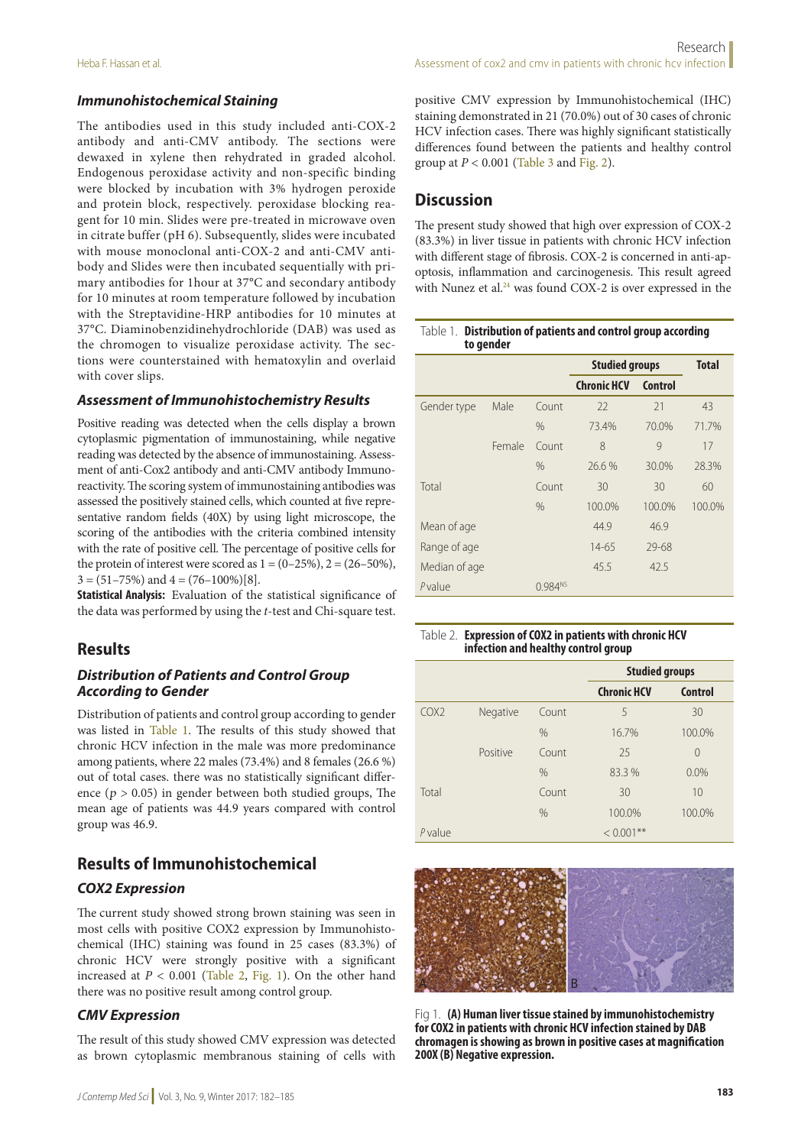#### *Immunohistochemical Staining*

The antibodies used in this study included anti-COX-2 antibody and anti-CMV antibody. The sections were dewaxed in xylene then rehydrated in graded alcohol. Endogenous peroxidase activity and non-specific binding were blocked by incubation with 3% hydrogen peroxide and protein block, respectively. peroxidase blocking reagent for 10 min. Slides were pre-treated in microwave oven in citrate buffer (pH 6). Subsequently, slides were incubated with mouse monoclonal anti-COX-2 and anti-CMV antibody and Slides were then incubated sequentially with primary antibodies for 1hour at 37°C and secondary antibody for 10 minutes at room temperature followed by incubation with the Streptavidine-HRP antibodies for 10 minutes at 37°C. Diaminobenzidinehydrochloride (DAB) was used as the chromogen to visualize peroxidase activity. The sections were counterstained with hematoxylin and overlaid with cover slips.

#### *Assessment of Immunohistochemistry Results*

Positive reading was detected when the cells display a brown cytoplasmic pigmentation of immunostaining, while negative reading was detected by the absence of immunostaining. Assessment of anti-Cox2 antibody and anti-CMV antibody Immunoreactivity. The scoring system of immunostaining antibodies was assessed the positively stained cells, which counted at five representative random fields (40X) by using light microscope, the scoring of the antibodies with the criteria combined intensity with the rate of positive cell. The percentage of positive cells for the protein of interest were scored as  $1 = (0-25\%)$ ,  $2 = (26-50\%)$ ,  $3 = (51 - 75\%)$  and  $4 = (76 - 100\%)$ [8].

**Statistical Analysis:** Evaluation of the statistical significance of the data was performed by using the *t*-test and Chi-square test.

### **Results**

#### *Distribution of Patients and Control Group According to Gender*

Distribution of patients and control group according to gender was listed in Table 1. The results of this study showed that chronic HCV infection in the male was more predominance among patients, where 22 males (73.4%) and 8 females (26.6 %) out of total cases. there was no statistically significant difference ( $p > 0.05$ ) in gender between both studied groups, The mean age of patients was 44.9 years compared with control group was 46.9.

## **Results of Immunohistochemical**

#### *COX2 Expression*

The current study showed strong brown staining was seen in most cells with positive COX2 expression by Immunohistochemical (IHC) staining was found in 25 cases (83.3%) of chronic HCV were strongly positive with a significant increased at  $P < 0.001$  (Table 2, Fig. 1). On the other hand there was no positive result among control group.

#### *CMV Expression*

The result of this study showed CMV expression was detected as brown cytoplasmic membranous staining of cells with positive CMV expression by Immunohistochemical (IHC) staining demonstrated in 21 (70.0%) out of 30 cases of chronic HCV infection cases. There was highly significant statistically differences found between the patients and healthy control group at  $P < 0.001$  (Table 3 and Fig. 2).

## **Discussion**

The present study showed that high over expression of COX-2 (83.3%) in liver tissue in patients with chronic HCV infection with different stage of fibrosis. COX-2 is concerned in anti-apoptosis, inflammation and carcinogenesis. This result agreed with Nunez et al.<sup>24</sup> was found COX-2 is over expressed in the

| Table 1. Distribution of patients and control group according |  |  |  |
|---------------------------------------------------------------|--|--|--|
| to gender                                                     |  |  |  |

|               |        |                     | <b>Studied groups</b> | <b>Total</b> |        |
|---------------|--------|---------------------|-----------------------|--------------|--------|
|               |        |                     | <b>Chronic HCV</b>    | Control      |        |
| Gender type   | Male   | Count               | 22                    | 21           | 43     |
|               |        | $\%$                | 73.4%                 | 70.0%        | 71.7%  |
|               | Female | Count               | 8                     | 9            | 17     |
|               |        | $\%$                | 26.6%                 | 30.0%        | 28.3%  |
| Total         |        | Count               | 30                    | 30           | 60     |
|               |        | $\%$                | 100.0%                | 100.0%       | 100.0% |
| Mean of age   |        |                     | 44.9                  | 46.9         |        |
| Range of age  |        |                     | $14 - 65$             | 29-68        |        |
| Median of age |        |                     | 45.5                  | 42.5         |        |
| Pvalue        |        | 0.984 <sup>NS</sup> |                       |              |        |

#### Table 2. **Expression of COX2 in patients with chronic HCV infection and healthy control group**

|                  |          |               | <b>Studied groups</b> |                |
|------------------|----------|---------------|-----------------------|----------------|
|                  |          |               | <b>Chronic HCV</b>    | <b>Control</b> |
| COX <sub>2</sub> | Negative | Count         | 5                     | 30             |
|                  |          | $\frac{0}{0}$ | 16.7%                 | 100.0%         |
|                  | Positive | Count         | 25                    | $\Omega$       |
|                  |          | $\frac{0}{0}$ | 83.3 %                | 0.0%           |
| Total            |          | Count         | 30                    | 10             |
|                  |          | $\frac{0}{0}$ | 100.0%                | 100.0%         |
| <i>P</i> value   |          |               | $< 0.001$ **          |                |



Fig 1. **(A) Human liver tissue stained by immunohistochemistry for COX2 in patients with chronic HCV infection stained by DAB chromagen is showing as brown in positive cases at magnification 200X (B) Negative expression.**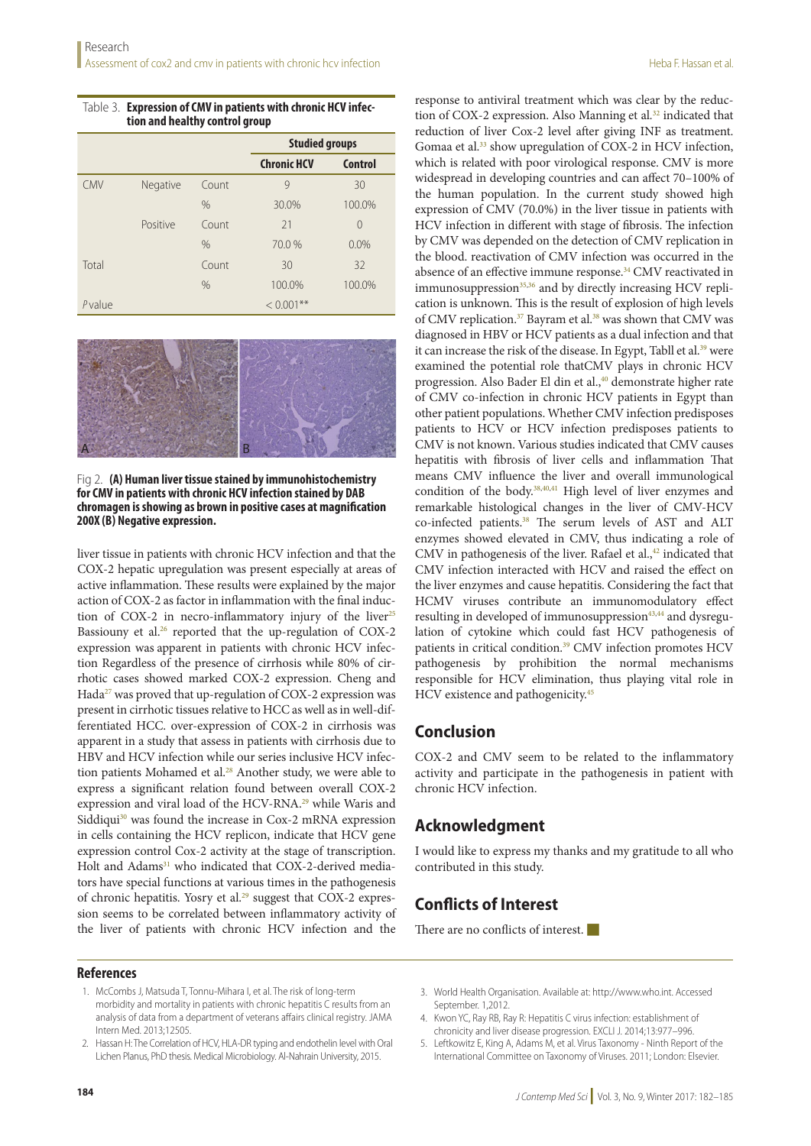| Table 3. Expression of CMV in patients with chronic HCV infec- |
|----------------------------------------------------------------|
| tion and healthy control group                                 |

|            |          |       |                    | <b>Studied groups</b> |  |
|------------|----------|-------|--------------------|-----------------------|--|
|            |          |       | <b>Chronic HCV</b> | <b>Control</b>        |  |
| <b>CMV</b> | Negative | Count | 9                  | 30                    |  |
|            |          | $\%$  | 30.0%              | 100.0%                |  |
|            | Positive | Count | 21                 | $\Omega$              |  |
|            |          | $\%$  | 70.0%              | 0.0%                  |  |
| Total      |          | Count | 30                 | 32                    |  |
|            |          | $\%$  | 100.0%             | 100.0%                |  |
| Pvalue     |          |       | $***$<br>< 0.001   |                       |  |



Fig 2. **(A) Human liver tissue stained by immunohistochemistry for CMV in patients with chronic HCV infection stained by DAB chromagen is showing as brown in positive cases at magnification 200X (B) Negative expression.**

liver tissue in patients with chronic HCV infection and that the COX-2 hepatic upregulation was present especially at areas of active inflammation. These results were explained by the major action of COX-2 as factor in inflammation with the final induction of COX-2 in necro-inflammatory injury of the liver<sup>25</sup> Bassiouny et al.<sup>26</sup> reported that the up-regulation of COX-2 expression was apparent in patients with chronic HCV infection Regardless of the presence of cirrhosis while 80% of cirrhotic cases showed marked COX-2 expression. Cheng and Hada<sup>27</sup> was proved that up-regulation of COX-2 expression was present in cirrhotic tissues relative to HCC as well as in well-differentiated HCC. over-expression of COX-2 in cirrhosis was apparent in a study that assess in patients with cirrhosis due to HBV and HCV infection while our series inclusive HCV infection patients Mohamed et al.<sup>28</sup> Another study, we were able to express a significant relation found between overall COX-2 expression and viral load of the HCV-RNA.<sup>29</sup> while Waris and Siddiqui<sup>30</sup> was found the increase in Cox-2 mRNA expression in cells containing the HCV replicon, indicate that HCV gene expression control Cox-2 activity at the stage of transcription. Holt and Adams<sup>31</sup> who indicated that COX-2-derived mediators have special functions at various times in the pathogenesis of chronic hepatitis. Yosry et al.<sup>29</sup> suggest that COX-2 expression seems to be correlated between inflammatory activity of the liver of patients with chronic HCV infection and the

response to antiviral treatment which was clear by the reduction of COX-2 expression. Also Manning et al*.* 32 indicated that reduction of liver Cox-2 level after giving INF as treatment. Gomaa et al.<sup>33</sup> show upregulation of COX-2 in HCV infection, which is related with poor virological response. CMV is more widespread in developing countries and can affect 70–100% of the human population. In the current study showed high expression of CMV (70.0%) in the liver tissue in patients with HCV infection in different with stage of fibrosis. The infection by CMV was depended on the detection of CMV replication in the blood. reactivation of CMV infection was occurred in the absence of an effective immune response.<sup>34</sup> CMV reactivated in immunosuppression<sup>35,36</sup> and by directly increasing HCV replication is unknown. This is the result of explosion of high levels of CMV replication.<sup>37</sup> Bayram et al.<sup>38</sup> was shown that CMV was diagnosed in HBV or HCV patients as a dual infection and that it can increase the risk of the disease. In Egypt, Tabll et al.<sup>39</sup> were examined the potential role thatCMV plays in chronic HCV progression. Also Bader El din et al.,<sup>40</sup> demonstrate higher rate of CMV co-infection in chronic HCV patients in Egypt than other patient populations. Whether CMV infection predisposes patients to HCV or HCV infection predisposes patients to CMV is not known. Various studies indicated that CMV causes hepatitis with fibrosis of liver cells and inflammation That means CMV influence the liver and overall immunological condition of the body.38,40,41 High level of liver enzymes and remarkable histological changes in the liver of CMV-HCV co-infected patients.38 The serum levels of AST and ALT enzymes showed elevated in CMV, thus indicating a role of CMV in pathogenesis of the liver. Rafael et al.,<sup>42</sup> indicated that CMV infection interacted with HCV and raised the effect on the liver enzymes and cause hepatitis. Considering the fact that HCMV viruses contribute an immunomodulatory effect resulting in developed of immunosuppression<sup>43,44</sup> and dysregulation of cytokine which could fast HCV pathogenesis of patients in critical condition.<sup>39</sup> CMV infection promotes HCV pathogenesis by prohibition the normal mechanisms responsible for HCV elimination, thus playing vital role in HCV existence and pathogenicity.45

### **Conclusion**

COX-2 and CMV seem to be related to the inflammatory activity and participate in the pathogenesis in patient with chronic HCV infection.

### **Acknowledgment**

I would like to express my thanks and my gratitude to all who contributed in this study.

## **Conflicts of Interest**

There are no conflicts of interest.  $\blacksquare$ 

#### **References**

- 1. McCombs J, Matsuda T, Tonnu-Mihara I, et al. The risk of long-term morbidity and mortality in patients with chronic hepatitis C results from an analysis of data from a department of veterans affairs clinical registry. JAMA Intern Med. 2013;12505.
- 2. Hassan H: The Correlation of HCV, HLA-DR typing and endothelin level with Oral Lichen Planus, PhD thesis. Medical Microbiology. Al-Nahrain University, 2015.
- 3. World Health Organisation. Available at: http://www.who.int. Accessed September. 1,2012.
- 4. Kwon YC, Ray RB, Ray R: Hepatitis C virus infection: establishment of chronicity and liver disease progression. EXCLI J. 2014;13:977–996.
- 5. Leftkowitz E, King A, Adams M, et al. Virus Taxonomy Ninth Report of the International Committee on Taxonomy of Viruses. 2011; London: Elsevier.